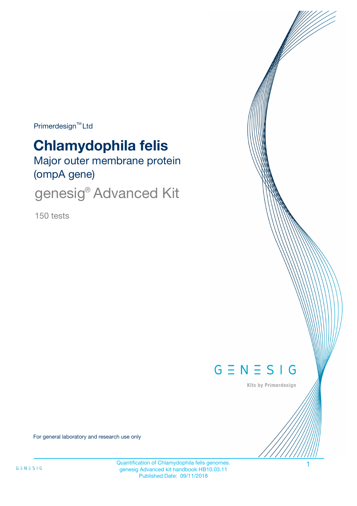$Primerdesign^{\text{TM}}$ Ltd

# **Chlamydophila felis**

Major outer membrane protein (ompA gene)

genesig® Advanced Kit

150 tests



Kits by Primerdesign

For general laboratory and research use only

Quantification of Chlamydophila felis genomes. 1 genesig Advanced kit handbook HB10.03.11 Published Date: 09/11/2018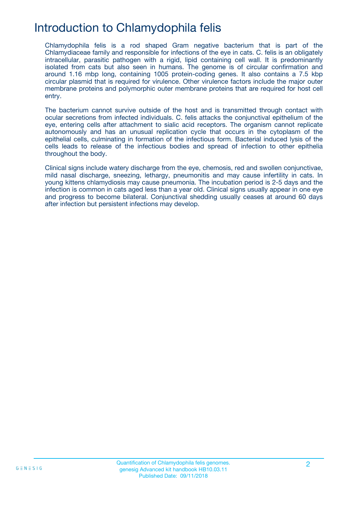## Introduction to Chlamydophila felis

Chlamydophila felis is a rod shaped Gram negative bacterium that is part of the Chlamydiaceae family and responsible for infections of the eye in cats. C. felis is an obligately intracellular, parasitic pathogen with a rigid, lipid containing cell wall. It is predominantly isolated from cats but also seen in humans. The genome is of circular confirmation and around 1.16 mbp long, containing 1005 protein-coding genes. It also contains a 7.5 kbp circular plasmid that is required for virulence. Other virulence factors include the major outer membrane proteins and polymorphic outer membrane proteins that are required for host cell entry.

The bacterium cannot survive outside of the host and is transmitted through contact with ocular secretions from infected individuals. C. felis attacks the conjunctival epithelium of the eye, entering cells after attachment to sialic acid receptors. The organism cannot replicate autonomously and has an unusual replication cycle that occurs in the cytoplasm of the epithelial cells, culminating in formation of the infectious form. Bacterial induced lysis of the cells leads to release of the infectious bodies and spread of infection to other epithelia throughout the body.

Clinical signs include watery discharge from the eye, chemosis, red and swollen conjunctivae, mild nasal discharge, sneezing, lethargy, pneumonitis and may cause infertility in cats. In young kittens chlamydiosis may cause pneumonia. The incubation period is 2-5 days and the infection is common in cats aged less than a year old. Clinical signs usually appear in one eye and progress to become bilateral. Conjunctival shedding usually ceases at around 60 days after infection but persistent infections may develop.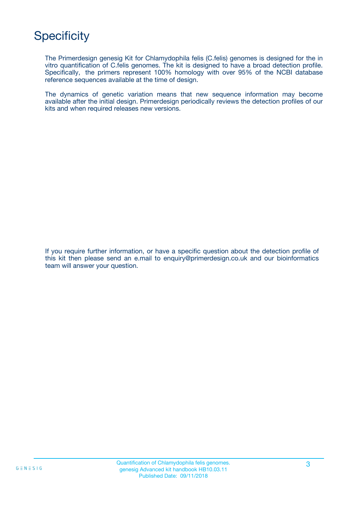## **Specificity**

The Primerdesign genesig Kit for Chlamydophila felis (C.felis) genomes is designed for the in vitro quantification of C.felis genomes. The kit is designed to have a broad detection profile. Specifically, the primers represent 100% homology with over 95% of the NCBI database reference sequences available at the time of design.

The dynamics of genetic variation means that new sequence information may become available after the initial design. Primerdesign periodically reviews the detection profiles of our kits and when required releases new versions.

If you require further information, or have a specific question about the detection profile of this kit then please send an e.mail to enquiry@primerdesign.co.uk and our bioinformatics team will answer your question.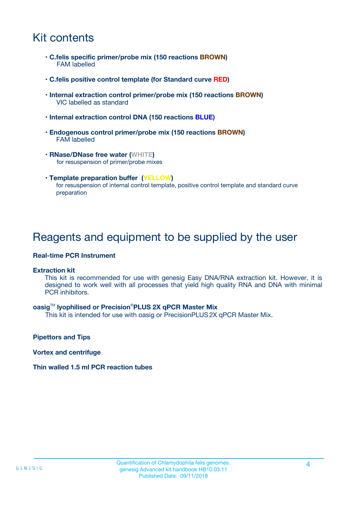## Kit contents

- **C.felis specific primer/probe mix (150 reactions BROWN)** FAM labelled
- **C.felis positive control template (for Standard curve RED)**
- **Internal extraction control primer/probe mix (150 reactions BROWN)** VIC labelled as standard
- **Internal extraction control DNA (150 reactions BLUE)**
- **Endogenous control primer/probe mix (150 reactions BROWN)** FAM labelled
- **RNase/DNase free water (WHITE)** for resuspension of primer/probe mixes
- **Template preparation buffer (YELLOW)** for resuspension of internal control template, positive control template and standard curve preparation

### Reagents and equipment to be supplied by the user

#### **Real-time PCR Instrument**

#### **Extraction kit**

This kit is recommended for use with genesig Easy DNA/RNA extraction kit. However, it is designed to work well with all processes that yield high quality RNA and DNA with minimal PCR inhibitors.

#### **oasig**TM **lyophilised or Precision**®**PLUS 2X qPCR Master Mix**

This kit is intended for use with oasig or PrecisionPLUS2X qPCR Master Mix.

**Pipettors and Tips**

**Vortex and centrifuge**

#### **Thin walled 1.5 ml PCR reaction tubes**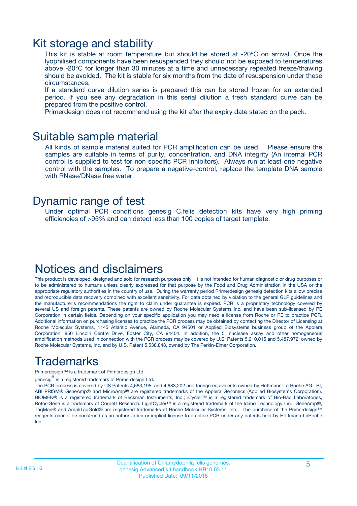### Kit storage and stability

This kit is stable at room temperature but should be stored at -20ºC on arrival. Once the lyophilised components have been resuspended they should not be exposed to temperatures above -20°C for longer than 30 minutes at a time and unnecessary repeated freeze/thawing should be avoided. The kit is stable for six months from the date of resuspension under these circumstances.

If a standard curve dilution series is prepared this can be stored frozen for an extended period. If you see any degradation in this serial dilution a fresh standard curve can be prepared from the positive control.

Primerdesign does not recommend using the kit after the expiry date stated on the pack.

### Suitable sample material

All kinds of sample material suited for PCR amplification can be used. Please ensure the samples are suitable in terms of purity, concentration, and DNA integrity (An internal PCR control is supplied to test for non specific PCR inhibitors). Always run at least one negative control with the samples. To prepare a negative-control, replace the template DNA sample with RNase/DNase free water.

### Dynamic range of test

Under optimal PCR conditions genesig C.felis detection kits have very high priming efficiencies of >95% and can detect less than 100 copies of target template.

### Notices and disclaimers

This product is developed, designed and sold for research purposes only. It is not intended for human diagnostic or drug purposes or to be administered to humans unless clearly expressed for that purpose by the Food and Drug Administration in the USA or the appropriate regulatory authorities in the country of use. During the warranty period Primerdesign genesig detection kits allow precise and reproducible data recovery combined with excellent sensitivity. For data obtained by violation to the general GLP guidelines and the manufacturer's recommendations the right to claim under guarantee is expired. PCR is a proprietary technology covered by several US and foreign patents. These patents are owned by Roche Molecular Systems Inc. and have been sub-licensed by PE Corporation in certain fields. Depending on your specific application you may need a license from Roche or PE to practice PCR. Additional information on purchasing licenses to practice the PCR process may be obtained by contacting the Director of Licensing at Roche Molecular Systems, 1145 Atlantic Avenue, Alameda, CA 94501 or Applied Biosystems business group of the Applera Corporation, 850 Lincoln Centre Drive, Foster City, CA 94404. In addition, the 5' nuclease assay and other homogeneous amplification methods used in connection with the PCR process may be covered by U.S. Patents 5,210,015 and 5,487,972, owned by Roche Molecular Systems, Inc, and by U.S. Patent 5,538,848, owned by The Perkin-Elmer Corporation.

## Trademarks

Primerdesign™ is a trademark of Primerdesign Ltd.

genesig $^\circledR$  is a registered trademark of Primerdesign Ltd.

The PCR process is covered by US Patents 4,683,195, and 4,683,202 and foreign equivalents owned by Hoffmann-La Roche AG. BI, ABI PRISM® GeneAmp® and MicroAmp® are registered trademarks of the Applera Genomics (Applied Biosystems Corporation). BIOMEK® is a registered trademark of Beckman Instruments, Inc.; iCycler™ is a registered trademark of Bio-Rad Laboratories, Rotor-Gene is a trademark of Corbett Research. LightCycler™ is a registered trademark of the Idaho Technology Inc. GeneAmp®, TaqMan® and AmpliTaqGold® are registered trademarks of Roche Molecular Systems, Inc., The purchase of the Primerdesign™ reagents cannot be construed as an authorization or implicit license to practice PCR under any patents held by Hoffmann-LaRoche Inc.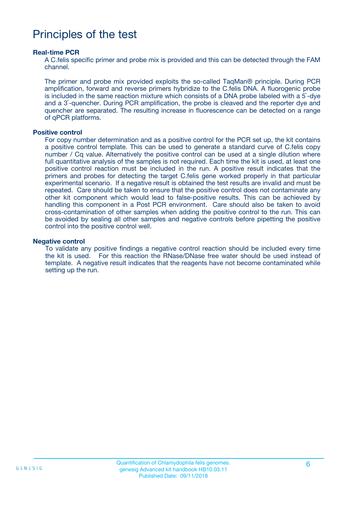## Principles of the test

#### **Real-time PCR**

A C.felis specific primer and probe mix is provided and this can be detected through the FAM channel.

The primer and probe mix provided exploits the so-called TaqMan® principle. During PCR amplification, forward and reverse primers hybridize to the C.felis DNA. A fluorogenic probe is included in the same reaction mixture which consists of a DNA probe labeled with a 5`-dye and a 3`-quencher. During PCR amplification, the probe is cleaved and the reporter dye and quencher are separated. The resulting increase in fluorescence can be detected on a range of qPCR platforms.

#### **Positive control**

For copy number determination and as a positive control for the PCR set up, the kit contains a positive control template. This can be used to generate a standard curve of C.felis copy number / Cq value. Alternatively the positive control can be used at a single dilution where full quantitative analysis of the samples is not required. Each time the kit is used, at least one positive control reaction must be included in the run. A positive result indicates that the primers and probes for detecting the target C.felis gene worked properly in that particular experimental scenario. If a negative result is obtained the test results are invalid and must be repeated. Care should be taken to ensure that the positive control does not contaminate any other kit component which would lead to false-positive results. This can be achieved by handling this component in a Post PCR environment. Care should also be taken to avoid cross-contamination of other samples when adding the positive control to the run. This can be avoided by sealing all other samples and negative controls before pipetting the positive control into the positive control well.

#### **Negative control**

To validate any positive findings a negative control reaction should be included every time the kit is used. For this reaction the RNase/DNase free water should be used instead of template. A negative result indicates that the reagents have not become contaminated while setting up the run.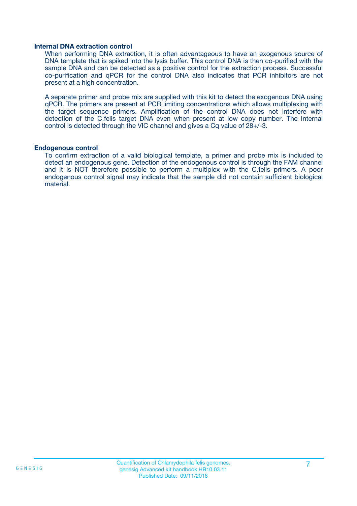#### **Internal DNA extraction control**

When performing DNA extraction, it is often advantageous to have an exogenous source of DNA template that is spiked into the lysis buffer. This control DNA is then co-purified with the sample DNA and can be detected as a positive control for the extraction process. Successful co-purification and qPCR for the control DNA also indicates that PCR inhibitors are not present at a high concentration.

A separate primer and probe mix are supplied with this kit to detect the exogenous DNA using qPCR. The primers are present at PCR limiting concentrations which allows multiplexing with the target sequence primers. Amplification of the control DNA does not interfere with detection of the C.felis target DNA even when present at low copy number. The Internal control is detected through the VIC channel and gives a Cq value of 28+/-3.

#### **Endogenous control**

To confirm extraction of a valid biological template, a primer and probe mix is included to detect an endogenous gene. Detection of the endogenous control is through the FAM channel and it is NOT therefore possible to perform a multiplex with the C.felis primers. A poor endogenous control signal may indicate that the sample did not contain sufficient biological material.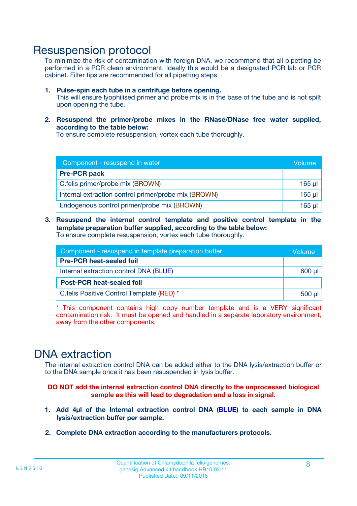### Resuspension protocol

To minimize the risk of contamination with foreign DNA, we recommend that all pipetting be performed in a PCR clean environment. Ideally this would be a designated PCR lab or PCR cabinet. Filter tips are recommended for all pipetting steps.

- **1. Pulse-spin each tube in a centrifuge before opening.** This will ensure lyophilised primer and probe mix is in the base of the tube and is not spilt upon opening the tube.
- **2. Resuspend the primer/probe mixes in the RNase/DNase free water supplied, according to the table below:**

To ensure complete resuspension, vortex each tube thoroughly.

| Component - resuspend in water                       |          |  |
|------------------------------------------------------|----------|--|
| <b>Pre-PCR pack</b>                                  |          |  |
| C.felis primer/probe mix (BROWN)                     | $165$ µl |  |
| Internal extraction control primer/probe mix (BROWN) | $165$ µl |  |
| Endogenous control primer/probe mix (BROWN)          | 165 µl   |  |

**3. Resuspend the internal control template and positive control template in the template preparation buffer supplied, according to the table below:** To ensure complete resuspension, vortex each tube thoroughly.

| Component - resuspend in template preparation buffer |          |  |
|------------------------------------------------------|----------|--|
| <b>Pre-PCR heat-sealed foil</b>                      |          |  |
| Internal extraction control DNA (BLUE)               |          |  |
| <b>Post-PCR heat-sealed foil</b>                     |          |  |
| C. felis Positive Control Template (RED) *           | $500$ µl |  |

\* This component contains high copy number template and is a VERY significant contamination risk. It must be opened and handled in a separate laboratory environment, away from the other components.

### DNA extraction

The internal extraction control DNA can be added either to the DNA lysis/extraction buffer or to the DNA sample once it has been resuspended in lysis buffer.

**DO NOT add the internal extraction control DNA directly to the unprocessed biological sample as this will lead to degradation and a loss in signal.**

- **1. Add 4µl of the Internal extraction control DNA (BLUE) to each sample in DNA lysis/extraction buffer per sample.**
- **2. Complete DNA extraction according to the manufacturers protocols.**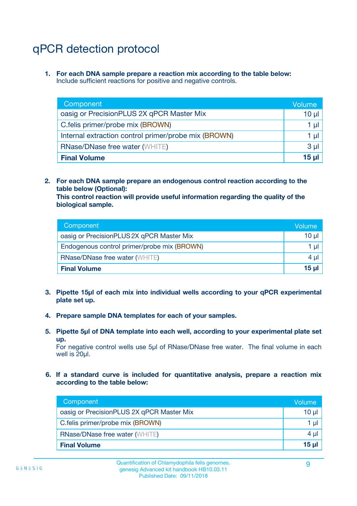## qPCR detection protocol

**1. For each DNA sample prepare a reaction mix according to the table below:** Include sufficient reactions for positive and negative controls.

| Component                                            | Volume   |
|------------------------------------------------------|----------|
| oasig or PrecisionPLUS 2X qPCR Master Mix            | $10 \mu$ |
| C.felis primer/probe mix (BROWN)                     | 1 µI     |
| Internal extraction control primer/probe mix (BROWN) | 1 µl     |
| <b>RNase/DNase free water (WHITE)</b>                | $3 \mu$  |
| <b>Final Volume</b>                                  | 15 µl    |

**2. For each DNA sample prepare an endogenous control reaction according to the table below (Optional):**

**This control reaction will provide useful information regarding the quality of the biological sample.**

| Component                                   | Volume          |
|---------------------------------------------|-----------------|
| oasig or PrecisionPLUS 2X qPCR Master Mix   | $10 \mu$        |
| Endogenous control primer/probe mix (BROWN) | 1 µI            |
| <b>RNase/DNase free water (WHITE)</b>       | 4 µl            |
| <b>Final Volume</b>                         | 15 <sub>µ</sub> |

- **3. Pipette 15µl of each mix into individual wells according to your qPCR experimental plate set up.**
- **4. Prepare sample DNA templates for each of your samples.**
- **5. Pipette 5µl of DNA template into each well, according to your experimental plate set up.**

For negative control wells use 5µl of RNase/DNase free water. The final volume in each well is 20ul.

**6. If a standard curve is included for quantitative analysis, prepare a reaction mix according to the table below:**

| Component                                 | Volume  |
|-------------------------------------------|---------|
| oasig or PrecisionPLUS 2X qPCR Master Mix | 10 µl   |
| C.felis primer/probe mix (BROWN)          | 1 µI    |
| <b>RNase/DNase free water (WHITE)</b>     | $4 \mu$ |
| <b>Final Volume</b>                       | 15 µl   |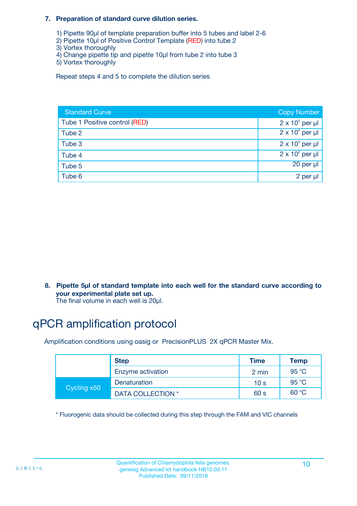#### **7. Preparation of standard curve dilution series.**

- 1) Pipette 90µl of template preparation buffer into 5 tubes and label 2-6
- 2) Pipette 10µl of Positive Control Template (RED) into tube 2
- 3) Vortex thoroughly
- 4) Change pipette tip and pipette 10µl from tube 2 into tube 3
- 5) Vortex thoroughly

Repeat steps 4 and 5 to complete the dilution series

| <b>Standard Curve</b>         | <b>Copy Number</b>     |
|-------------------------------|------------------------|
| Tube 1 Positive control (RED) | $2 \times 10^5$ per µl |
| Tube 2                        | $2 \times 10^4$ per µl |
| Tube 3                        | $2 \times 10^3$ per µl |
| Tube 4                        | $2 \times 10^2$ per µl |
| Tube 5                        | $20$ per $\mu$         |
| Tube 6                        | 2 per µl               |

**8. Pipette 5µl of standard template into each well for the standard curve according to your experimental plate set up.**

#### The final volume in each well is 20µl.

## qPCR amplification protocol

Amplification conditions using oasig or PrecisionPLUS 2X qPCR Master Mix.

|             | <b>Step</b>       | <b>Time</b>     | Temp    |
|-------------|-------------------|-----------------|---------|
|             | Enzyme activation | 2 min           | 95 °C   |
| Cycling x50 | Denaturation      | 10 <sub>s</sub> | 95 $°C$ |
|             | DATA COLLECTION * | 60 s            | 60 °C   |

\* Fluorogenic data should be collected during this step through the FAM and VIC channels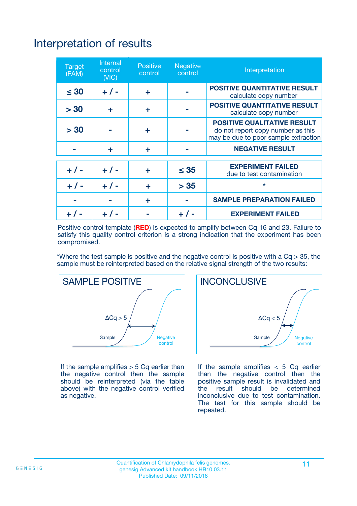## Interpretation of results

| <b>Target</b><br>(FAM) | <b>Internal</b><br>control<br>(NIC) | <b>Positive</b><br>control | <b>Negative</b><br>control | Interpretation                                                                                                  |
|------------------------|-------------------------------------|----------------------------|----------------------------|-----------------------------------------------------------------------------------------------------------------|
| $\leq 30$              | $+ 1 -$                             | ÷                          |                            | <b>POSITIVE QUANTITATIVE RESULT</b><br>calculate copy number                                                    |
| > 30                   | ٠                                   | ÷                          |                            | <b>POSITIVE QUANTITATIVE RESULT</b><br>calculate copy number                                                    |
| > 30                   |                                     | ÷                          |                            | <b>POSITIVE QUALITATIVE RESULT</b><br>do not report copy number as this<br>may be due to poor sample extraction |
|                        | ÷                                   | ÷                          |                            | <b>NEGATIVE RESULT</b>                                                                                          |
| $+ 1 -$                | $+ 1 -$                             | ÷                          | $\leq$ 35                  | <b>EXPERIMENT FAILED</b><br>due to test contamination                                                           |
| $+$ / -                | $+ 1 -$                             | ÷                          | > 35                       | $\star$                                                                                                         |
|                        |                                     | ÷                          |                            | <b>SAMPLE PREPARATION FAILED</b>                                                                                |
|                        |                                     |                            | $+$ /                      | <b>EXPERIMENT FAILED</b>                                                                                        |

Positive control template (**RED**) is expected to amplify between Cq 16 and 23. Failure to satisfy this quality control criterion is a strong indication that the experiment has been compromised.

\*Where the test sample is positive and the negative control is positive with a  $Ca > 35$ , the sample must be reinterpreted based on the relative signal strength of the two results:



If the sample amplifies  $> 5$  Cq earlier than the negative control then the sample should be reinterpreted (via the table above) with the negative control verified as negative.



If the sample amplifies  $< 5$  Cq earlier than the negative control then the positive sample result is invalidated and<br>the result should be determined  $the$  result should be inconclusive due to test contamination. The test for this sample should be repeated.